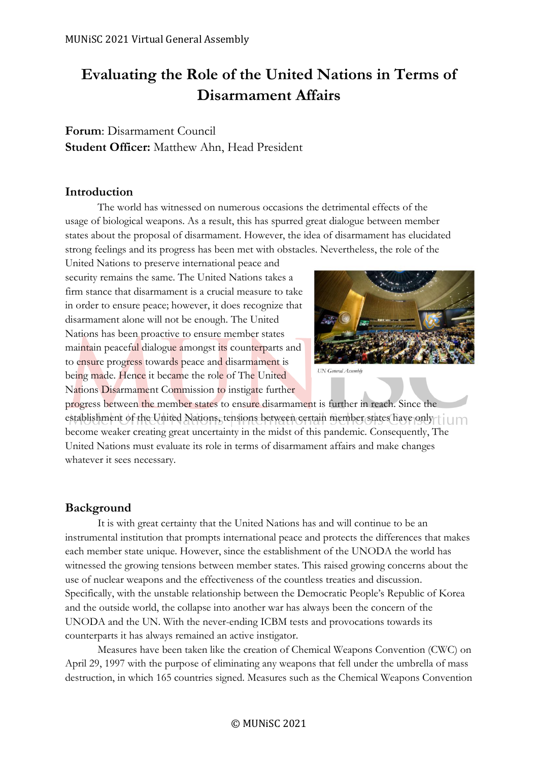## **Evaluating the Role of the United Nations in Terms of Disarmament Affairs**

## **Forum**: Disarmament Council **Student Officer:** Matthew Ahn, Head President

#### **Introduction**

The world has witnessed on numerous occasions the detrimental effects of the usage of biological weapons. As a result, this has spurred great dialogue between member states about the proposal of disarmament. However, the idea of disarmament has elucidated strong feelings and its progress has been met with obstacles. Nevertheless, the role of the

United Nations to preserve international peace and security remains the same. The United Nations takes a firm stance that disarmament is a crucial measure to take in order to ensure peace; however, it does recognize that disarmament alone will not be enough. The United Nations has been proactive to ensure member states maintain peaceful dialogue amongst its counterparts and to ensure progress towards peace and disarmament is being made. Hence it became the role of The United Nations Disarmament Commission to instigate further



progress between the member states to ensure disarmament is further in reach. Since the establishment of the United Nations, tensions between certain member states have only in m become weaker creating great uncertainty in the midst of this pandemic. Consequently, The United Nations must evaluate its role in terms of disarmament affairs and make changes whatever it sees necessary.

### **Background**

It is with great certainty that the United Nations has and will continue to be an instrumental institution that prompts international peace and protects the differences that makes each member state unique. However, since the establishment of the UNODA the world has witnessed the growing tensions between member states. This raised growing concerns about the use of nuclear weapons and the effectiveness of the countless treaties and discussion. Specifically, with the unstable relationship between the Democratic People's Republic of Korea and the outside world, the collapse into another war has always been the concern of the UNODA and the UN. With the never-ending ICBM tests and provocations towards its counterparts it has always remained an active instigator.

Measures have been taken like the creation of Chemical Weapons Convention (CWC) on April 29, 1997 with the purpose of eliminating any weapons that fell under the umbrella of mass destruction, in which 165 countries signed. Measures such as the Chemical Weapons Convention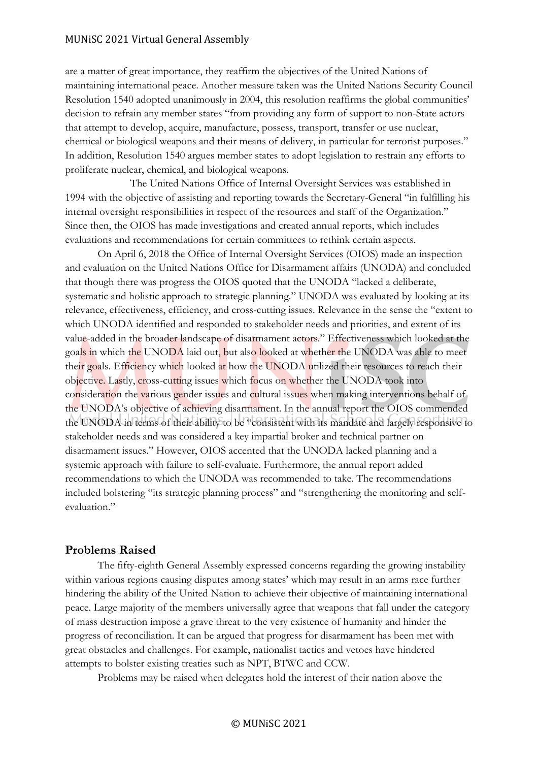#### MUNiSC 2021 Virtual General Assembly

are a matter of great importance, they reaffirm the objectives of the United Nations of maintaining international peace. Another measure taken was the United Nations Security Council Resolution 1540 adopted unanimously in 2004, this resolution reaffirms the global communities' decision to refrain any member states "from providing any form of support to non-State actors that attempt to develop, acquire, manufacture, possess, transport, transfer or use nuclear, chemical or biological weapons and their means of delivery, in particular for terrorist purposes." In addition, Resolution 1540 argues member states to adopt legislation to restrain any efforts to proliferate nuclear, chemical, and biological weapons.

The United Nations Office of Internal Oversight Services was established in 1994 with the objective of assisting and reporting towards the Secretary-General "in fulfilling his internal oversight responsibilities in respect of the resources and staff of the Organization." Since then, the OIOS has made investigations and created annual reports, which includes evaluations and recommendations for certain committees to rethink certain aspects.

On April 6, 2018 the Office of Internal Oversight Services (OIOS) made an inspection and evaluation on the United Nations Office for Disarmament affairs (UNODA) and concluded that though there was progress the OIOS quoted that the UNODA "lacked a deliberate, systematic and holistic approach to strategic planning." UNODA was evaluated by looking at its relevance, effectiveness, efficiency, and cross-cutting issues. Relevance in the sense the "extent to which UNODA identified and responded to stakeholder needs and priorities, and extent of its value-added in the broader landscape of disarmament actors." Effectiveness which looked at the goals in which the UNODA laid out, but also looked at whether the UNODA was able to meet their goals. Efficiency which looked at how the UNODA utilized their resources to reach their objective. Lastly, cross-cutting issues which focus on whether the UNODA took into consideration the various gender issues and cultural issues when making interventions behalf of the UNODA's objective of achieving disarmament. In the annual report the OIOS commended the UNODA in terms of their ability to be "consistent with its mandate and largely responsive to stakeholder needs and was considered a key impartial broker and technical partner on disarmament issues." However, OIOS accented that the UNODA lacked planning and a systemic approach with failure to self-evaluate. Furthermore, the annual report added recommendations to which the UNODA was recommended to take. The recommendations included bolstering "its strategic planning process" and "strengthening the monitoring and selfevaluation."

#### **Problems Raised**

The fifty-eighth General Assembly expressed concerns regarding the growing instability within various regions causing disputes among states' which may result in an arms race further hindering the ability of the United Nation to achieve their objective of maintaining international peace. Large majority of the members universally agree that weapons that fall under the category of mass destruction impose a grave threat to the very existence of humanity and hinder the progress of reconciliation. It can be argued that progress for disarmament has been met with great obstacles and challenges. For example, nationalist tactics and vetoes have hindered attempts to bolster existing treaties such as NPT, BTWC and CCW.

Problems may be raised when delegates hold the interest of their nation above the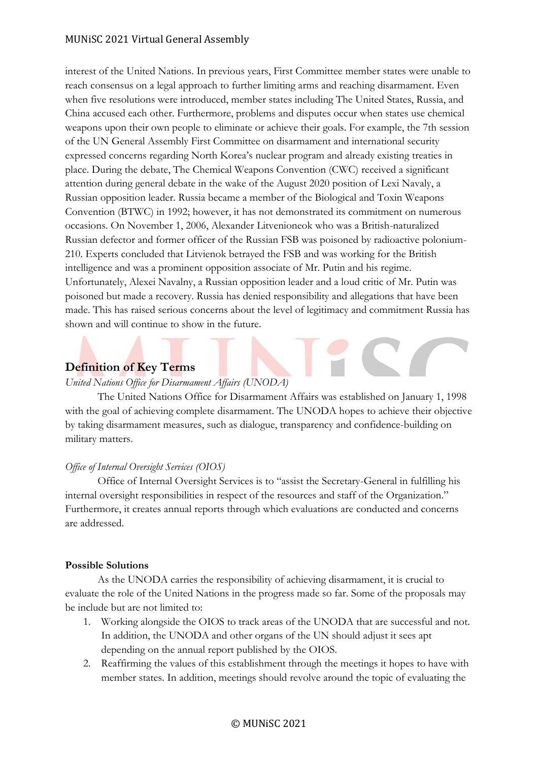#### MUNiSC 2021 Virtual General Assembly

interest of the United Nations. In previous years, First Committee member states were unable to reach consensus on a legal approach to further limiting arms and reaching disarmament. Even when five resolutions were introduced, member states including The United States, Russia, and China accused each other. Furthermore, problems and disputes occur when states use chemical weapons upon their own people to eliminate or achieve their goals. For example, the 7th session of the UN General Assembly First Committee on disarmament and international security expressed concerns regarding North Korea's nuclear program and already existing treaties in place. During the debate, The Chemical Weapons Convention (CWC) received a significant attention during general debate in the wake of the August 2020 position of Lexi Navaly, a Russian opposition leader. Russia became a member of the Biological and Toxin Weapons Convention (BTWC) in 1992; however, it has not demonstrated its commitment on numerous occasions. On November 1, 2006, Alexander Litvenioneok who was a British-naturalized Russian defector and former officer of the Russian FSB was poisoned by radioactive polonium-210. Experts concluded that Litvienok betrayed the FSB and was working for the British intelligence and was a prominent opposition associate of Mr. Putin and his regime. Unfortunately, Alexei Navalny, a Russian opposition leader and a loud critic of Mr. Putin was poisoned but made a recovery. Russia has denied responsibility and allegations that have been made. This has raised serious concerns about the level of legitimacy and commitment Russia has shown and will continue to show in the future.

#### **Definition of Key Terms**

#### *United Nations Office for Disarmament Affairs (UNODA)*

The United Nations Office for Disarmament Affairs was established on January 1, 1998 with the goal of achieving complete disarmament. The UNODA hopes to achieve their objective by taking disarmament measures, such as dialogue, transparency and confidence-building on military matters.

#### *Office of Internal Oversight Services (OIOS)*

Office of Internal Oversight Services is to "assist the Secretary-General in fulfilling his internal oversight responsibilities in respect of the resources and staff of the Organization." Furthermore, it creates annual reports through which evaluations are conducted and concerns are addressed.

#### **Possible Solutions**

As the UNODA carries the responsibility of achieving disarmament, it is crucial to evaluate the role of the United Nations in the progress made so far. Some of the proposals may be include but are not limited to:

- 1. Working alongside the OIOS to track areas of the UNODA that are successful and not. In addition, the UNODA and other organs of the UN should adjust it sees apt depending on the annual report published by the OIOS.
- 2. Reaffirming the values of this establishment through the meetings it hopes to have with member states. In addition, meetings should revolve around the topic of evaluating the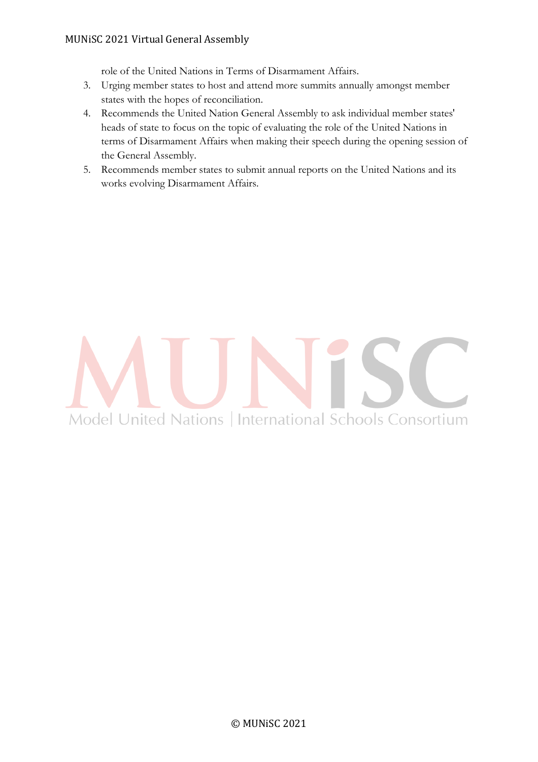role of the United Nations in Terms of Disarmament Affairs.

- 3. Urging member states to host and attend more summits annually amongst member states with the hopes of reconciliation.
- 4. Recommends the United Nation General Assembly to ask individual member states' heads of state to focus on the topic of evaluating the role of the United Nations in terms of Disarmament Affairs when making their speech during the opening session of the General Assembly.
- 5. Recommends member states to submit annual reports on the United Nations and its works evolving Disarmament Affairs.

# Model United Nations | International Schools Consortium